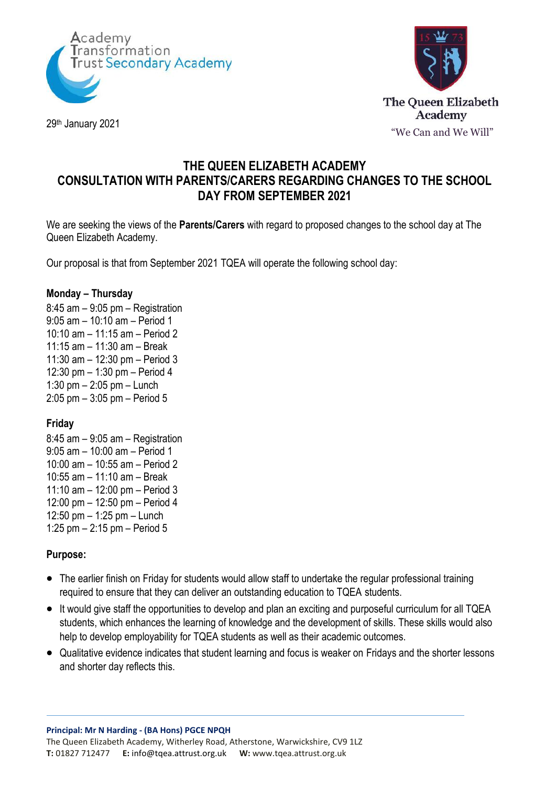



29th January 2021

# **THE QUEEN ELIZABETH ACADEMY CONSULTATION WITH PARENTS/CARERS REGARDING CHANGES TO THE SCHOOL DAY FROM SEPTEMBER 2021**

We are seeking the views of the **Parents/Carers** with regard to proposed changes to the school day at The Queen Elizabeth Academy.

Our proposal is that from September 2021 TQEA will operate the following school day:

#### **Monday – Thursday**

8:45 am – 9:05 pm – Registration 9:05 am – 10:10 am – Period 1 10:10 am – 11:15 am – Period 2 11:15 am – 11:30 am – Break 11:30 am – 12:30 pm – Period 3 12:30 pm – 1:30 pm – Period 4 1:30 pm – 2:05 pm – Lunch 2:05 pm – 3:05 pm – Period 5

### **Friday**

8:45 am – 9:05 am – Registration 9:05 am – 10:00 am – Period 1 10:00 am – 10:55 am – Period 2 10:55 am – 11:10 am – Break 11:10 am – 12:00 pm – Period 3 12:00 pm – 12:50 pm – Period 4 12:50 pm – 1:25 pm – Lunch 1:25 pm – 2:15 pm – Period 5

### **Purpose:**

- The earlier finish on Friday for students would allow staff to undertake the regular professional training required to ensure that they can deliver an outstanding education to TQEA students.
- It would give staff the opportunities to develop and plan an exciting and purposeful curriculum for all TQEA students, which enhances the learning of knowledge and the development of skills. These skills would also help to develop employability for TQEA students as well as their academic outcomes.
- Qualitative evidence indicates that student learning and focus is weaker on Fridays and the shorter lessons and shorter day reflects this.